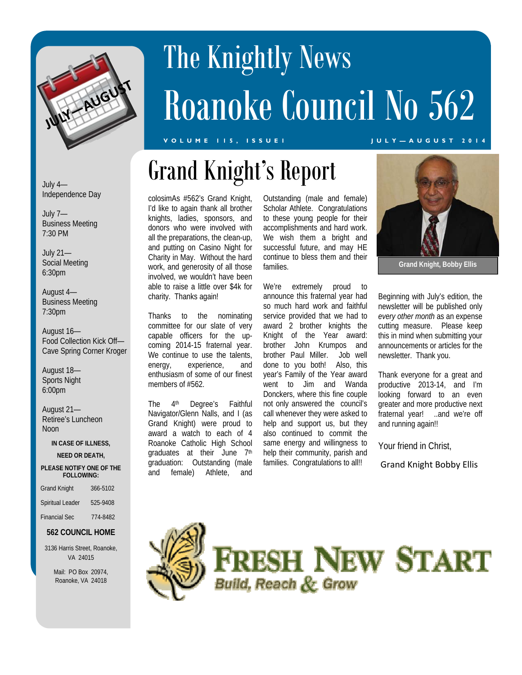

# The Knightly News Roanoke Council No 562

Grand Knight's Report

#### **VOLUME 115, ISSUE1 JULY—AUGUST 2014**

July 4— Independence Day

July 7— Business Meeting 7:30 PM

July 21— Social Meeting 6:30pm

August 4— Business Meeting 7:30pm

August 16— Food Collection Kick Off— Cave Spring Corner Kroger

August 18— Sports Night 6:00pm

August 21— Retiree's Luncheon **Noon** 

**IN CASE OF ILLNESS,** 

#### **NEED OR DEATH,**

#### **PLEASE NOTIFY ONE OF THE FOLLOWING:**

| <b>Grand Knight</b>  | 366-5102 |
|----------------------|----------|
| Spiritual Leader     | 525-9408 |
| <b>Financial Sec</b> | 774-8482 |

### **562 COUNCIL HOME**

3136 Harris Street, Roanoke, VA 24015

> Mail: PO Box 20974, Roanoke, VA 24018

colosimAs #562's Grand Knight, I'd like to again thank all brother knights, ladies, sponsors, and donors who were involved with all the preparations, the clean-up, and putting on Casino Night for Charity in May. Without the hard work, and generosity of all those involved, we wouldn't have been able to raise a little over \$4k for charity. Thanks again!

Thanks to the nominating committee for our slate of very capable officers for the upcoming 2014-15 fraternal year. We continue to use the talents, energy, experience, and enthusiasm of some of our finest members of #562.

The 4<sup>th</sup> Degree's Faithful Navigator/Glenn Nalls, and I (as Grand Knight) were proud to award a watch to each of 4 Roanoke Catholic High School graduates at their June 7<sup>th</sup> graduation: Outstanding (male and female) Athlete, and

Outstanding (male and female) Scholar Athlete. Congratulations to these young people for their accomplishments and hard work. We wish them a bright and successful future, and may HE continue to bless them and their families.

We're extremely proud to announce this fraternal year had so much hard work and faithful service provided that we had to award 2 brother knights the Knight of the Year award: brother John Krumpos and brother Paul Miller. Job well done to you both! Also, this year's Family of the Year award went to Jim and Wanda Donckers, where this fine couple not only answered the council's call whenever they were asked to help and support us, but they also continued to commit the same energy and willingness to help their community, parish and families. Congratulations to all!!



**Grand Knight, Bobby Ellis** 

Beginning with July's edition, the newsletter will be published only *every other month* as an expense cutting measure. Please keep this in mind when submitting your announcements or articles for the newsletter. Thank you.

Thank everyone for a great and productive 2013-14, and I'm looking forward to an even greater and more productive next fraternal year! ..and we're off and running again!!

Your friend in Christ,

Grand Knight Bobby Ellis



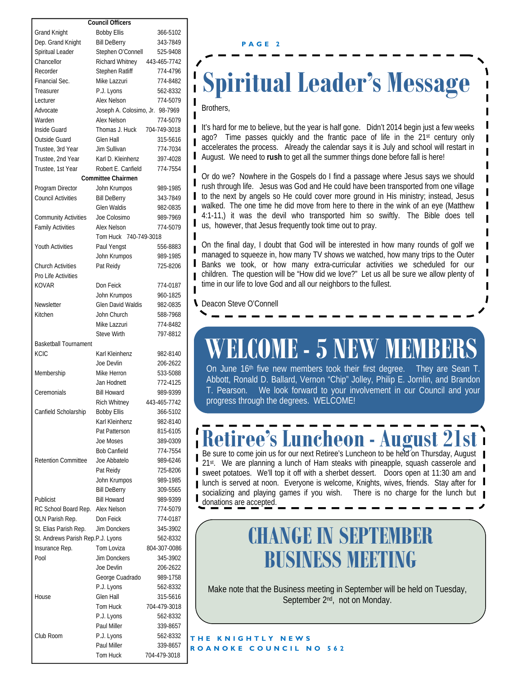| <b>Council Officers</b>                             |                                 |              |
|-----------------------------------------------------|---------------------------------|--------------|
| <b>Grand Knight</b>                                 | <b>Bobby Ellis</b>              | 366-5102     |
| Dep. Grand Knight                                   | <b>Bill DeBerry</b>             | 343-7849     |
| Spiritual Leader                                    | Stephen O'Connell               | 525-9408     |
| Chancellor                                          | Richard Whitney                 | 443-465-7742 |
| Recorder                                            | Stephen Ratliff                 | 774-4796     |
| Financial Sec.                                      | Mike Lazzuri                    | 774-8482     |
| Treasurer                                           | P.J. Lyons                      | 562-8332     |
| Lecturer                                            | Alex Nelson                     | 774-5079     |
| Advocate                                            | Joseph A. Colosimo, Jr. 98-7969 |              |
| Warden                                              | Alex Nelson                     | 774-5079     |
| Inside Guard                                        | Thomas J. Huck                  | 704-749-3018 |
| Outside Guard                                       | Glen Hall                       | 315-5616     |
| Trustee, 3rd Year                                   | Jim Sullivan                    | 774-7034     |
| Trustee, 2nd Year                                   | Karl D. Kleinhenz               | 397-4028     |
|                                                     |                                 |              |
| Robert E. Canfield<br>Trustee, 1st Year<br>774-7554 |                                 |              |
|                                                     | <b>Committee Chairmen</b>       |              |
| Program Director                                    | John Krumpos                    | 989-1985     |
| <b>Council Activities</b>                           | <b>Bill DeBerry</b>             | 343-7849     |
|                                                     | <b>Glen Waldis</b>              | 982-0835     |
| <b>Community Activities</b>                         | Joe Colosimo                    | 989-7969     |
| <b>Family Activities</b>                            | Alex Nelson                     | 774-5079     |
|                                                     | Tom Huck 740-749-3018           |              |
| Youth Activities                                    | Paul Yengst                     | 556-8883     |
|                                                     | John Krumpos                    | 989-1985     |
| <b>Church Activities</b>                            | Pat Reidy                       | 725-8206     |
| Pro Life Activities                                 |                                 |              |
| KOVAR                                               | Don Feick                       | 774-0187     |
|                                                     | John Krumpos                    | 960-1825     |
| Newsletter                                          | <b>Glen David Waldis</b>        | 982-0835     |
| Kitchen                                             | John Church                     | 588-7968     |
|                                                     | Mike Lazzuri                    | 774-8482     |
|                                                     | <b>Steve Wirth</b>              | 797-8812     |
| <b>Basketball Tournament</b>                        |                                 |              |
| KCIC                                                | Karl Kleinhenz                  | 982-8140     |
|                                                     | Joe Devlin                      | 206-2622     |
| Membership                                          | Mike Herron                     | 533-5088     |
|                                                     | Jan Hodnett                     | 772-4125     |
| Ceremonials                                         | <b>Bill Howard</b>              | 989-9399     |
|                                                     | Rich Whitney                    | 443-465-7742 |
| Canfield Scholarship                                | <b>Bobby Ellis</b>              | 366-5102     |
|                                                     | Karl Kleinhenz                  | 982-8140     |
|                                                     | Pat Patterson                   | 815-6105     |
|                                                     | Joe Moses                       | 389-0309     |
|                                                     | <b>Bob Canfield</b>             | 774-7554     |
| <b>Retention Committee</b>                          | Joe Abbatelo                    | 989-6246     |
|                                                     | Pat Reidy                       | 725-8206     |
|                                                     | John Krumpos                    | 989-1985     |
|                                                     | <b>Bill DeBerry</b>             | 309-5565     |
| Publicist                                           | Bill Howard                     | 989-9399     |
|                                                     | Alex Nelson                     |              |
| RC School Board Rep.                                |                                 | 774-5079     |
| OLN Parish Rep.                                     | Don Feick                       | 774-0187     |
| St. Elias Parish Rep.                               | Jim Donckers                    | 345-3902     |
| St. Andrews Parish Rep.P.J. Lyons                   |                                 | 562-8332     |
| Insurance Rep.                                      | Tom Loviza                      | 804-307-0086 |
| Pool                                                | <b>Jim Donckers</b>             | 345-3902     |
|                                                     | Joe Devlin                      | 206-2622     |
|                                                     | George Cuadrado                 | 989-1758     |
|                                                     | P.J. Lyons                      | 562-8332     |
| House                                               | Glen Hall                       | 315-5616     |
|                                                     | Tom Huck                        | 704-479-3018 |
|                                                     | P.J. Lyons                      | 562-8332     |
|                                                     | Paul Miller                     | 339-8657     |
| Club Room                                           | P.J. Lyons                      | 562-8332     |
|                                                     | Paul Miller                     | 339-8657     |
|                                                     | Tom Huck                        | 704-479-3018 |

#### **PAGE 2**

### **Spiritual Leader's Message**

Brothers,

I

It's hard for me to believe, but the year is half gone. Didn't 2014 begin just a few weeks ago? Time passes quickly and the frantic pace of life in the 21st century only accelerates the process. Already the calendar says it is July and school will restart in August. We need to **rush** to get all the summer things done before fall is here!

Or do we? Nowhere in the Gospels do I find a passage where Jesus says we should rush through life. Jesus was God and He could have been transported from one village to the next by angels so He could cover more ground in His ministry; instead, Jesus walked. The one time he did move from here to there in the wink of an eye (Matthew 4:1-11,) it was the devil who transported him so swiftly. The Bible does tell us, however, that Jesus frequently took time out to pray.

On the final day, I doubt that God will be interested in how many rounds of golf we managed to squeeze in, how many TV shows we watched, how many trips to the Outer Banks we took, or how many extra-curricular activities we scheduled for our children. The question will be "How did we love?" Let us all be sure we allow plenty of time in our life to love God and all our neighbors to the fullest.

Deacon Steve O'Connell

## **WELCOME - 5 NEW MEMBERS**

On June 16<sup>th</sup> five new members took their first degree. Abbott, Ronald D. Ballard, Vernon "Chip" Jolley, Philip E. Jornlin, and Brandon T. Pearson. We look forward to your involvement in our Council and your progress through the degrees. WELCOME!

### **Riree's Luncheon - August 2**

Be sure to come join us for our next Retiree's Luncheon to be held on Thursday, August 21st. We are planning a lunch of Ham steaks with pineapple, squash casserole and sweet potatoes. We'll top it off with a sherbet dessert. Doors open at 11:30 am and I lunch is served at noon. Everyone is welcome, Knights, wives, friends. Stay after for socializing and playing games if you wish. There is no charge for the lunch but donations are accepted.

### **CHANGE IN SEPTEMBER BUSINESS MEETING**

Make note that the Business meeting in September will be held on Tuesday, September 2<sup>nd</sup>, not on Monday.

**THE KNIGHTLY NEWS ROANOKE COUNCIL NO 562**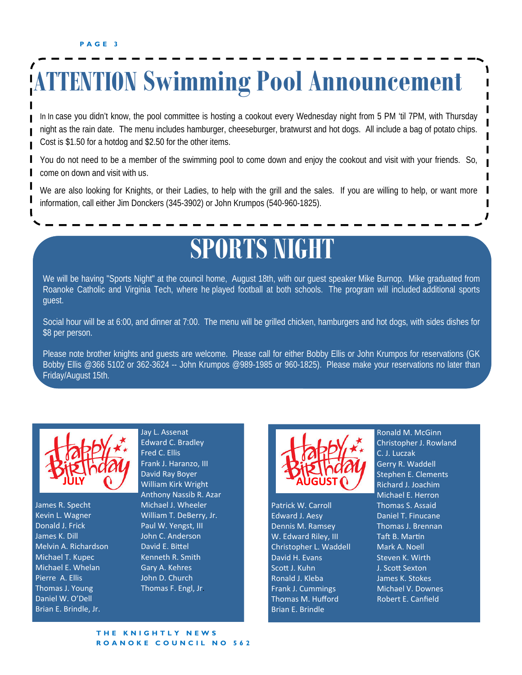## **ATTENTION Swimming Pool Announcement**

In In case you didn't know, the pool committee is hosting a cookout every Wednesday night from 5 PM 'til 7PM, with Thursday night as the rain date. The menu includes hamburger, cheeseburger, bratwurst and hot dogs. All include a bag of potato chips. Cost is \$1.50 for a hotdog and \$2.50 for the other items.

You do not need to be a member of the swimming pool to come down and enjoy the cookout and visit with your friends. So, come on down and visit with us.

We are also looking for Knights, or their Ladies, to help with the grill and the sales. If you are willing to help, or want more information, call either Jim Donckers (345-3902) or John Krumpos (540-960-1825).

### **SPORTS NIGHT**

We will be having "Sports Night" at the council home, August 18th, with our guest speaker Mike Burnop. Mike graduated from Roanoke Catholic and Virginia Tech, where he played football at both schools. The program will included additional sports guest.

Social hour will be at 6:00, and dinner at 7:00. The menu will be grilled chicken, hamburgers and hot dogs, with sides dishes for \$8 per person.

Please note brother knights and guests are welcome. Please call for either Bobby Ellis or John Krumpos for reservations (GK Bobby Ellis @366 5102 or 362-3624 -- John Krumpos @989-1985 or 960-1825). Please make your reservations no later than Friday/August 15th.



James R. Specht Kevin L. Wagner Donald J. Frick James K. Dill Melvin A. Richardson Michael T. Kupec Michael E. Whelan Pierre A. Ellis Thomas J. Young Daniel W. O'Dell Brian E. Brindle, Jr.

Jay L. Assenat Edward C. Bradley Fred C. Ellis

Frank J. Haranzo, III David Ray Boyer William Kirk Wright Anthony Nassib R. Azar Michael J. Wheeler William T. DeBerry, Jr. Paul W. Yengst, III John C. Anderson David E. Bittel Kenneth R. Smith Gary A. Kehres John D. Church Thomas F. Engl, Jr.



Patrick W. Carroll Edward J. Aesy Dennis M. Ramsey W. Edward Riley, III Christopher L. Waddell David H. Evans Scott J. Kuhn Ronald J. Kleba Frank J. Cummings Thomas M. Hufford Brian E. Brindle

Ronald M. McGinn Christopher J. Rowland C. J. Luczak Gerry R. Waddell Stephen E. Clements Richard J. Joachim Michael E. Herron Thomas S. Assaid Daniel T. Finucane Thomas J. Brennan Taft B. Martin Mark A. Noell Steven K. Wirth J. ScoƩ Sexton James K. Stokes Michael V. Downes Robert E. Canfield

ı ı

Ш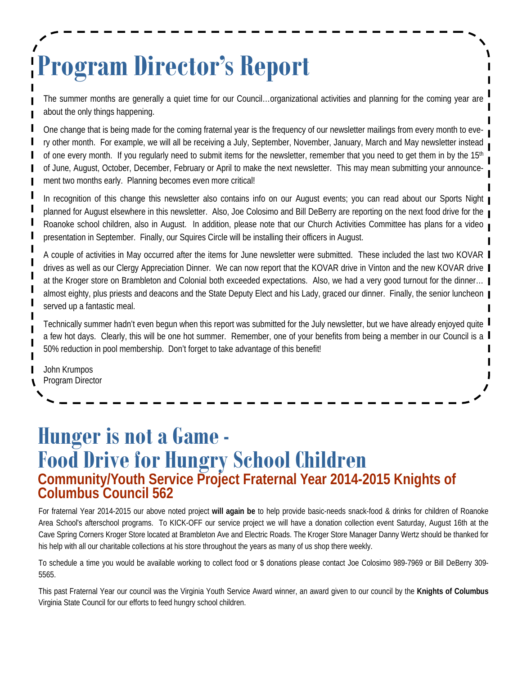# **Program Director's Report**

The summer months are generally a quiet time for our Council…organizational activities and planning for the coming year are about the only things happening.

One change that is being made for the coming fraternal year is the frequency of our newsletter mailings from every month to every other month. For example, we will all be receiving a July, September, November, January, March and May newsletter instead of one every month. If you regularly need to submit items for the newsletter, remember that you need to get them in by the  $15<sup>th</sup>$ of June, August, October, December, February or April to make the next newsletter. This may mean submitting your announcement two months early. Planning becomes even more critical! I

In recognition of this change this newsletter also contains info on our August events; you can read about our Sports Night planned for August elsewhere in this newsletter. Also, Joe Colosimo and Bill DeBerry are reporting on the next food drive for the Roanoke school children, also in August. In addition, please note that our Church Activities Committee has plans for a video presentation in September. Finally, our Squires Circle will be installing their officers in August.

A couple of activities in May occurred after the items for June newsletter were submitted. These included the last two KOVAR drives as well as our Clergy Appreciation Dinner. We can now report that the KOVAR drive in Vinton and the new KOVAR drive at the Kroger store on Brambleton and Colonial both exceeded expectations. Also, we had a very good turnout for the dinner… almost eighty, plus priests and deacons and the State Deputy Elect and his Lady, graced our dinner. Finally, the senior luncheon served up a fantastic meal.

Technically summer hadn't even begun when this report was submitted for the July newsletter, but we have already enjoyed quite a few hot days. Clearly, this will be one hot summer. Remember, one of your benefits from being a member in our Council is a 50% reduction in pool membership. Don't forget to take advantage of this benefit!

John Krumpos Program Director

### **Hunger is not a Game - Food Drive for Hungry School Children Community/Youth Service Project Fraternal Year 2014-2015 Knights of Columbus Council 562**

For fraternal Year 2014-2015 our above noted project **will again be** to help provide basic-needs snack-food & drinks for children of Roanoke Area School's afterschool programs. To KICK-OFF our service project we will have a donation collection event Saturday, August 16th at the Cave Spring Corners Kroger Store located at Brambleton Ave and Electric Roads. The Kroger Store Manager Danny Wertz should be thanked for his help with all our charitable collections at his store throughout the years as many of us shop there weekly.

To schedule a time you would be available working to collect food or \$ donations please contact Joe Colosimo 989-7969 or Bill DeBerry 309- 5565.

This past Fraternal Year our council was the Virginia Youth Service Award winner, an award given to our council by the **Knights of Columbus** Virginia State Council for our efforts to feed hungry school children.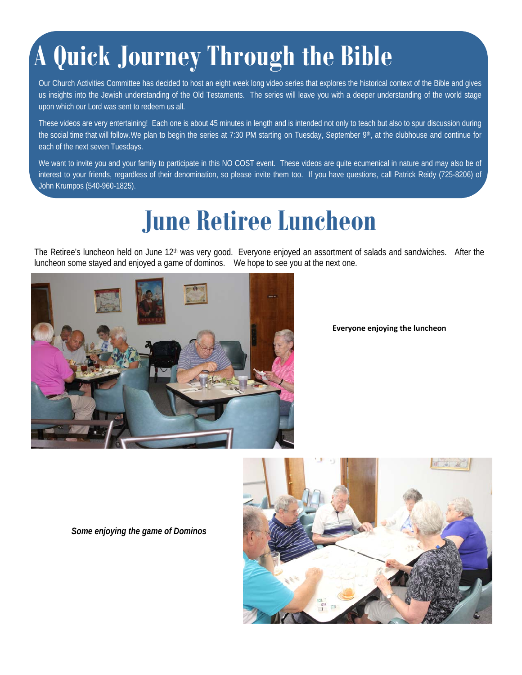## **A Quick Journey Through the Bible**

Our Church Activities Committee has decided to host an eight week long video series that explores the historical context of the Bible and gives us insights into the Jewish understanding of the Old Testaments. The series will leave you with a deeper understanding of the world stage upon which our Lord was sent to redeem us all.

These videos are very entertaining! Each one is about 45 minutes in length and is intended not only to teach but also to spur discussion during the social time that will follow. We plan to begin the series at 7:30 PM starting on Tuesday, September 9th, at the clubhouse and continue for each of the next seven Tuesdays.

We want to invite you and your family to participate in this NO COST event. These videos are quite ecumenical in nature and may also be of interest to your friends, regardless of their denomination, so please invite them too. If you have questions, call Patrick Reidy (725-8206) of John Krumpos (540-960-1825).

## **June Retiree Luncheon**

The Retiree's luncheon held on June 12<sup>th</sup> was very good. Everyone enjoyed an assortment of salads and sandwiches. After the luncheon some stayed and enjoyed a game of dominos. We hope to see you at the next one.



**Everyone enjoying the luncheon**

*Some enjoying the game of Dominos*